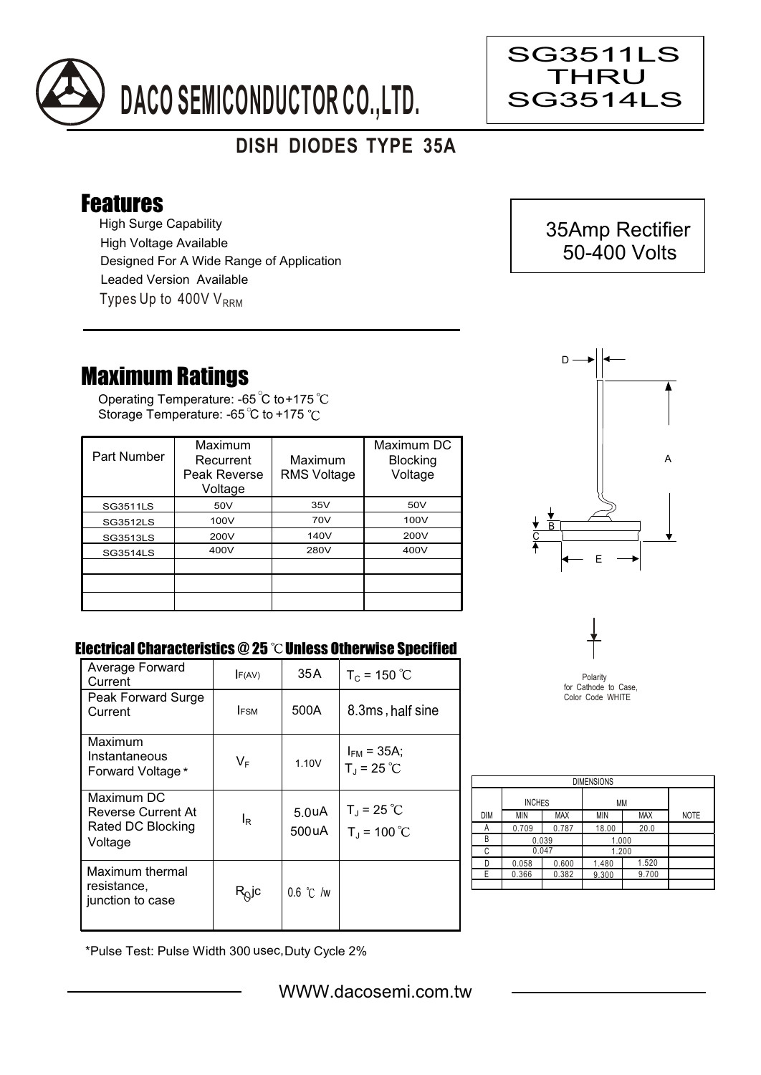

## **DISH DIODES TYPE 35A**

## Features

High Surge Capability Types Up to  $400VV<sub>RRM</sub>$ High Voltage Available Designed For A Wide Range of Application Leaded Version Available

## Maximum Ratings

Operating Temperature: -65 C to+175 Storage Temperature: -65 °C to +175 °C

| Part Number     | Maximum<br>Recurrent<br>Peak Reverse<br>Voltage | Maximum<br><b>RMS Voltage</b> | Maximum DC<br><b>Blocking</b><br>Voltage |
|-----------------|-------------------------------------------------|-------------------------------|------------------------------------------|
| <b>SG3511LS</b> | 50V                                             | 35V                           | 50V                                      |
| SG3512LS        | 100V                                            | 70V                           | 100V                                     |
| <b>SG3513LS</b> | 200V                                            | 140V                          | 200V                                     |
| SG3514LS        | 400V                                            | 280V                          | 400V                                     |
|                 |                                                 |                               |                                          |
|                 |                                                 |                               |                                          |
|                 |                                                 |                               |                                          |



## Electrical Characteristics @ 25 °C Unless Otherwise Specified

| Average Forward<br>Current                                       | F(AV)          | 35 A                        | $T_c = 150 °C$                              |
|------------------------------------------------------------------|----------------|-----------------------------|---------------------------------------------|
| Peak Forward Surge<br>Current                                    | <b>FSM</b>     | 500A                        | 8.3ms, half sine                            |
| Maximum<br>Instantaneous<br>Forward Voltage*                     | $V_F$          | 1.10V                       | $I_{FM}$ = 35A;<br>$T_{J}$ = 25 °C          |
| Maximum DC<br>Reverse Current At<br>Rated DC Blocking<br>Voltage | l <sub>R</sub> | 5.0 <sub>u</sub> A<br>500uA | $T_{\rm J}$ = 25 °C<br>$T_{\rm J}$ = 100 °C |
| Maximum thermal<br>resistance,<br>junction to case               | $R_Q$ jc       | $0.6$ °C /w                 |                                             |



| <b>DIMENSIONS</b> |               |            |       |            |             |  |  |  |  |
|-------------------|---------------|------------|-------|------------|-------------|--|--|--|--|
|                   | <b>INCHES</b> |            | МM    |            |             |  |  |  |  |
| <b>DIM</b>        | <b>MIN</b>    | <b>MAX</b> | MIN   | <b>MAX</b> | <b>NOTE</b> |  |  |  |  |
| Α                 | 0.709         | 0.787      | 18.00 | 20.0       |             |  |  |  |  |
| R                 | 0.039         |            | 1.000 |            |             |  |  |  |  |
| C                 | 0.047         |            | 1.200 |            |             |  |  |  |  |
| n                 | 0.058         | 0.600      | 1.480 | 1.520      |             |  |  |  |  |
| F.                | 0.366         | 0.382      | 9.300 | 9.700      |             |  |  |  |  |
|                   |               |            |       |            |             |  |  |  |  |

\*Pulse Test: Pulse Width 300 usec,Duty Cycle 2%



Ξ

SG3511LS THRU SG3514LS